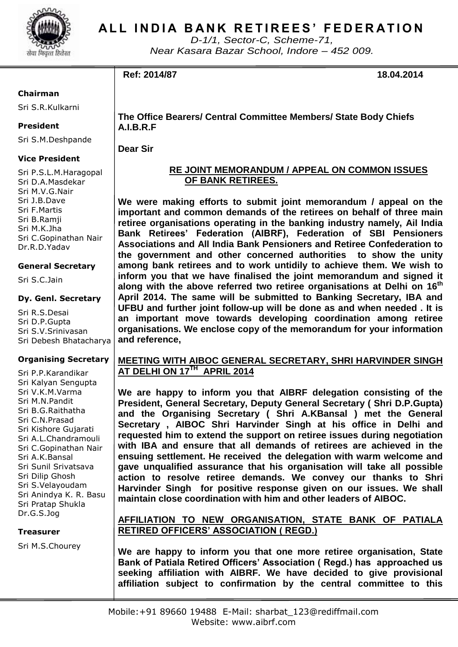

## **ALL INDIA BANK RETIREES' FEDERATION**

*D-1/1, Sector-C, Scheme-71, Near Kasara Bazar School, Indore – 452 009.*

## **Ref: 2014/87 18.04.2014**

## **Chairman**

Sri S.R.Kulkarni

#### **President**

Sri S.M.Deshpande

## **Vice President**

Sri P.S.L.M.Haragopal Sri D.A.Masdekar Sri M.V.G.Nair Sri J.B.Dave Sri F.Martis Sri B.Ramji Sri M.K.Jha Sri C.Gopinathan Nair Dr.R.D.Yadav

#### **General Secretary**

Sri S.C.Jain

#### **Dy. Genl. Secretary**

Sri R.S.Desai Sri D.P.Gupta Sri S.V.Srinivasan Sri Debesh Bhatacharya

## **Organising Secretary**

Sri P.P.Karandikar Sri Kalyan Sengupta Sri V.K.M.Varma Sri M.N.Pandit Sri B.G.Raithatha Sri C.N.Prasad Sri Kishore Gujarati Sri A.L.Chandramouli Sri C.Gopinathan Nair Sri A.K.Bansal Sri Sunil Srivatsava Sri Dilip Ghosh Sri S.Velayoudam Sri Anindya K. R. Basu Sri Pratap Shukla Dr.G.S.Jog

#### **Treasurer**

Sri M.S.Chourey

**The Office Bearers/ Central Committee Members/ State Body Chiefs A.I.B.R.F**

**Dear Sir**

## **RE JOINT MEMORANDUM / APPEAL ON COMMON ISSUES OF BANK RETIREES.**

**We were making efforts to submit joint memorandum / appeal on the important and common demands of the retirees on behalf of three main retiree organisations operating in the banking industry namely, Ail India Bank Retirees' Federation (AIBRF), Federation of SBI Pensioners Associations and All India Bank Pensioners and Retiree Confederation to the government and other concerned authorities to show the unity among bank retirees and to work untidily to achieve them. We wish to inform you that we have finalised the joint memorandum and signed it along with the above referred two retiree organisations at Delhi on 16 th April 2014. The same will be submitted to Banking Secretary, IBA and UFBU and further joint follow-up will be done as and when needed . It is an important move towards developing coordination among retiree organisations. We enclose copy of the memorandum for your information and reference,**

## **MEETING WITH AIBOC GENERAL SECRETARY, SHRI HARVINDER SINGH AT DELHI ON 17TH APRIL 2014**

**We are happy to inform you that AIBRF delegation consisting of the President, General Secretary, Deputy General Secretary ( Shri D.P.Gupta) and the Organising Secretary ( Shri A.KBansal ) met the General Secretary , AIBOC Shri Harvinder Singh at his office in Delhi and requested him to extend the support on retiree issues during negotiation with IBA and ensure that all demands of retirees are achieved in the ensuing settlement. He received the delegation with warm welcome and gave unqualified assurance that his organisation will take all possible action to resolve retiree demands. We convey our thanks to Shri Harvinder Singh for positive response given on our issues. We shall maintain close coordination with him and other leaders of AIBOC.**

## **AFFILIATION TO NEW ORGANISATION, STATE BANK OF PATIALA RETIRED OFFICERS' ASSOCIATION ( REGD.)**

**We are happy to inform you that one more retiree organisation, State Bank of Patiala Retired Officers' Association ( Regd.) has approached us seeking affiliation with AIBRF. We have decided to give provisional affiliation subject to confirmation by the central committee to this**